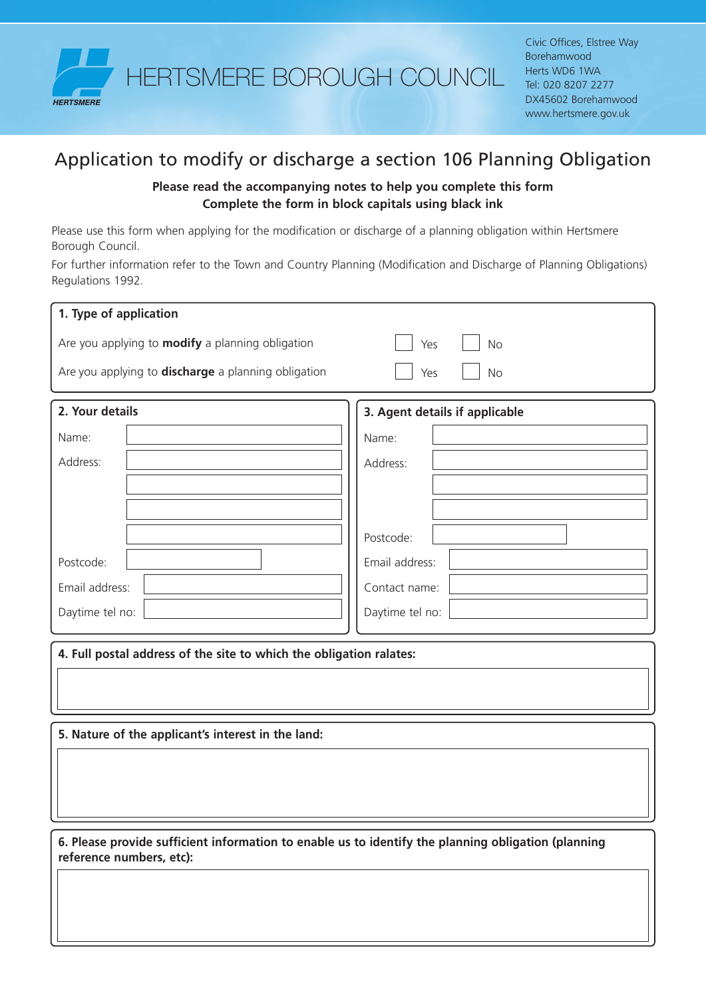

## Application to modify or discharge a section 106 Planning Obligation

## **Please read the accompanying notes to help you complete this form Complete the form in block capitals using black ink**

Please use this form when applying for the modification or discharge of a planning obligation within Hertsmere Borough Council.

For further information refer to the Town and Country Planning (Modification and Discharge of Planning Obligations) Regulations 1992.

| 1. Type of application                                                                                                          |                                |  |
|---------------------------------------------------------------------------------------------------------------------------------|--------------------------------|--|
| Are you applying to <b>modify</b> a planning obligation                                                                         | <b>No</b><br>Yes               |  |
| Are you applying to <b>discharge</b> a planning obligation                                                                      | Yes<br><b>No</b>               |  |
| 2. Your details                                                                                                                 | 3. Agent details if applicable |  |
| Name:                                                                                                                           | Name:                          |  |
| Address:                                                                                                                        | Address:                       |  |
|                                                                                                                                 |                                |  |
|                                                                                                                                 |                                |  |
|                                                                                                                                 | Postcode:                      |  |
| Postcode:                                                                                                                       | Email address:                 |  |
| Email address:                                                                                                                  | Contact name:                  |  |
| Daytime tel no:                                                                                                                 | Daytime tel no:                |  |
| 4. Full postal address of the site to which the obligation ralates:                                                             |                                |  |
| 5. Nature of the applicant's interest in the land:                                                                              |                                |  |
|                                                                                                                                 |                                |  |
| 6. Please provide sufficient information to enable us to identify the planning obligation (planning<br>reference numbers, etc): |                                |  |